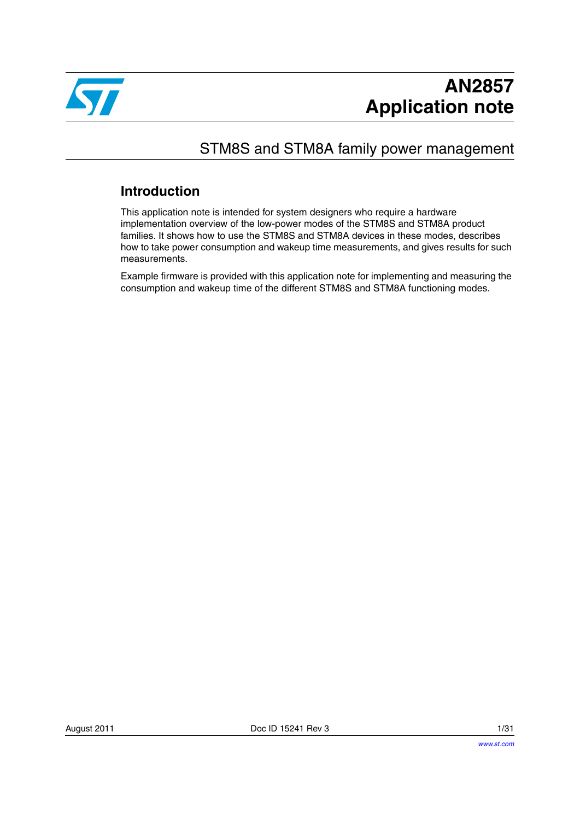

# STM8S and STM8A family power management

# **Introduction**

This application note is intended for system designers who require a hardware implementation overview of the low-power modes of the STM8S and STM8A product families. It shows how to use the STM8S and STM8A devices in these modes, describes how to take power consumption and wakeup time measurements, and gives results for such measurements.

Example firmware is provided with this application note for implementing and measuring the consumption and wakeup time of the different STM8S and STM8A functioning modes.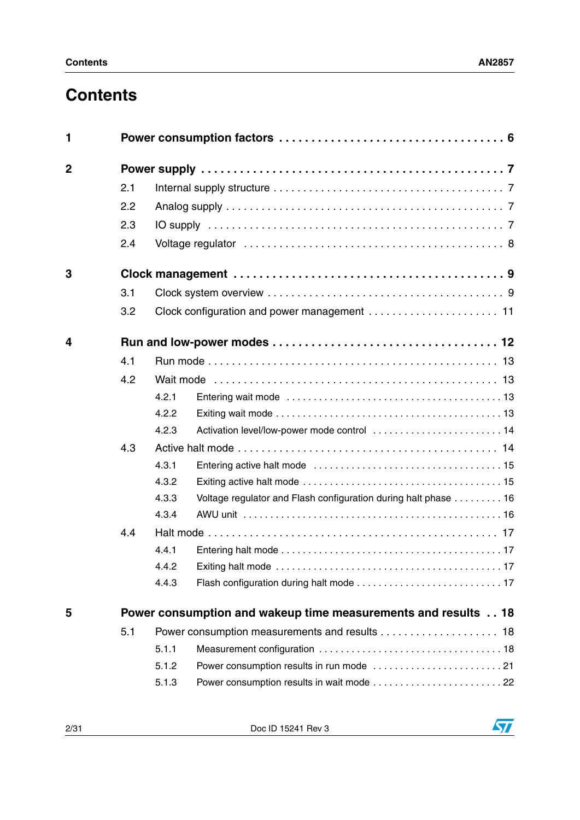# **Contents**

| 1              |     |       |                                                                |
|----------------|-----|-------|----------------------------------------------------------------|
| $\overline{2}$ |     |       |                                                                |
|                | 2.1 |       |                                                                |
|                | 2.2 |       |                                                                |
|                | 2.3 |       |                                                                |
|                | 2.4 |       |                                                                |
| 3              |     |       |                                                                |
|                | 3.1 |       |                                                                |
|                | 3.2 |       |                                                                |
| 4              |     |       |                                                                |
|                | 4.1 |       |                                                                |
|                | 4.2 |       |                                                                |
|                |     | 4.2.1 |                                                                |
|                |     | 4.2.2 |                                                                |
|                |     | 4.2.3 | Activation level/low-power mode control  14                    |
|                | 4.3 |       |                                                                |
|                |     | 4.3.1 |                                                                |
|                |     | 4.3.2 |                                                                |
|                |     | 4.3.3 | Voltage regulator and Flash configuration during halt phase 16 |
|                |     | 4.3.4 |                                                                |
|                | 4.4 |       |                                                                |
|                |     | 4.4.1 |                                                                |
|                |     | 4.4.2 |                                                                |
|                |     | 4.4.3 |                                                                |
| 5              |     |       | Power consumption and wakeup time measurements and results 18  |
|                | 5.1 |       | Power consumption measurements and results 18                  |
|                |     | 5.1.1 |                                                                |
|                |     | 5.1.2 |                                                                |
|                |     | 5.1.3 |                                                                |

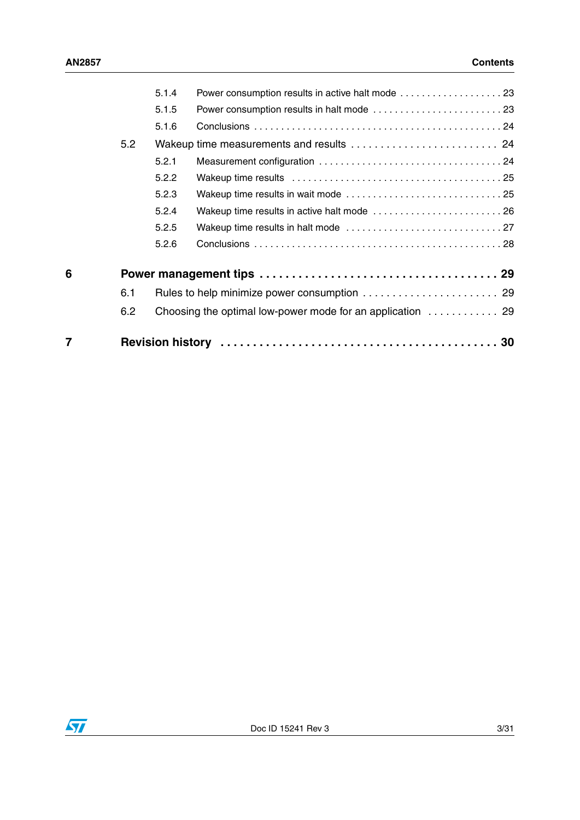| 7 |     | <b>Revision history</b> |                                                                                  |  |
|---|-----|-------------------------|----------------------------------------------------------------------------------|--|
|   | 6.2 |                         | Choosing the optimal low-power mode for an application $\dots\dots\dots\dots$ 29 |  |
|   | 6.1 |                         |                                                                                  |  |
| 6 |     |                         |                                                                                  |  |
|   |     | 5.2.6                   |                                                                                  |  |
|   |     | 5.2.5                   |                                                                                  |  |
|   |     | 5.2.4                   |                                                                                  |  |
|   |     | 5.2.3                   |                                                                                  |  |
|   |     | 5.2.2                   |                                                                                  |  |
|   |     | 5.2.1                   |                                                                                  |  |
|   | 5.2 |                         |                                                                                  |  |
|   |     | 5.1.6                   |                                                                                  |  |
|   |     | 5.1.5                   |                                                                                  |  |
|   |     | 5.1.4                   |                                                                                  |  |

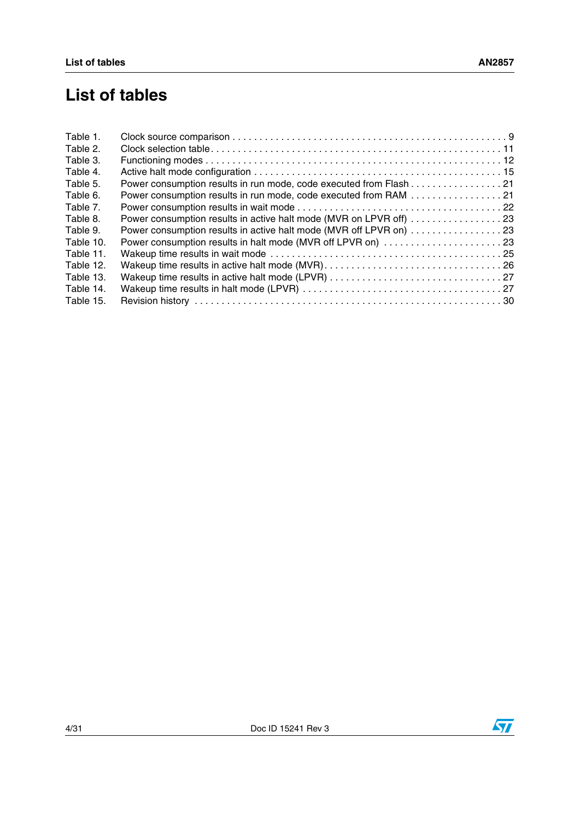# **List of tables**

| Table 1.  |                                                                    |  |
|-----------|--------------------------------------------------------------------|--|
| Table 2.  |                                                                    |  |
| Table 3.  |                                                                    |  |
| Table 4.  |                                                                    |  |
| Table 5.  | Power consumption results in run mode, code executed from Flash 21 |  |
| Table 6.  | Power consumption results in run mode, code executed from RAM 21   |  |
| Table 7.  |                                                                    |  |
| Table 8.  | Power consumption results in active halt mode (MVR on LPVR off) 23 |  |
| Table 9.  | Power consumption results in active halt mode (MVR off LPVR on) 23 |  |
| Table 10. |                                                                    |  |
| Table 11. |                                                                    |  |
| Table 12. |                                                                    |  |
| Table 13. |                                                                    |  |
| Table 14. |                                                                    |  |
| Table 15. |                                                                    |  |
|           |                                                                    |  |

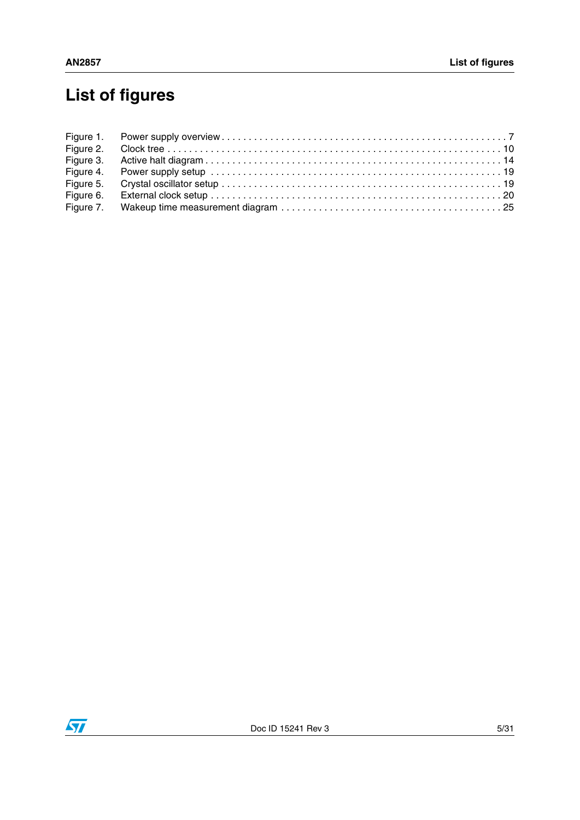# **List of figures**

| Figure 5. |  |
|-----------|--|
| Figure 6. |  |
|           |  |

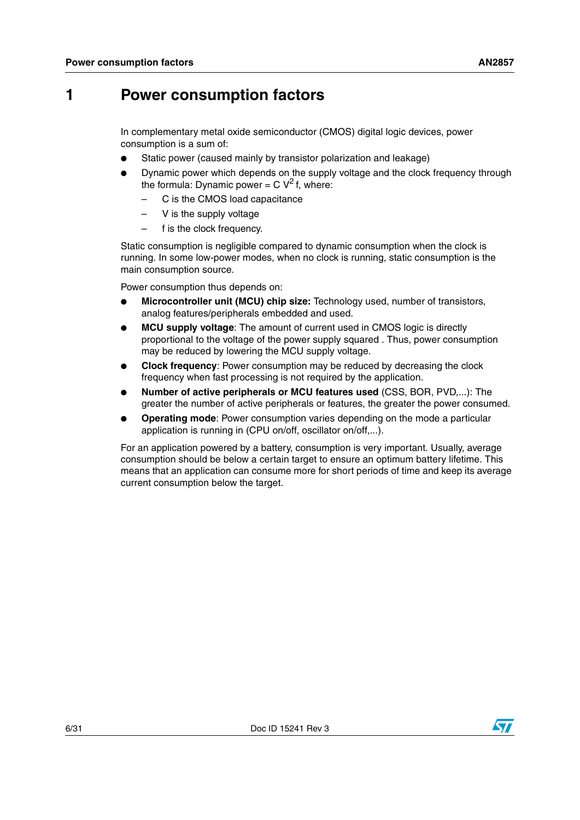# <span id="page-5-0"></span>**1 Power consumption factors**

In complementary metal oxide semiconductor (CMOS) digital logic devices, power consumption is a sum of:

- Static power (caused mainly by transistor polarization and leakage)
- Dynamic power which depends on the supply voltage and the clock frequency through the formula: Dynamic power =  $C V<sup>2</sup>$  f, where:
	- C is the CMOS load capacitance
	- V is the supply voltage
	- f is the clock frequency.

Static consumption is negligible compared to dynamic consumption when the clock is running. In some low-power modes, when no clock is running, static consumption is the main consumption source.

Power consumption thus depends on:

- **Microcontroller unit (MCU) chip size:** Technology used, number of transistors, analog features/peripherals embedded and used.
- **MCU supply voltage:** The amount of current used in CMOS logic is directly proportional to the voltage of the power supply squared . Thus, power consumption may be reduced by lowering the MCU supply voltage.
- **Clock frequency:** Power consumption may be reduced by decreasing the clock frequency when fast processing is not required by the application.
- **Number of active peripherals or MCU features used (CSS, BOR, PVD,...): The** greater the number of active peripherals or features, the greater the power consumed.
- **Operating mode**: Power consumption varies depending on the mode a particular application is running in (CPU on/off, oscillator on/off,...).

For an application powered by a battery, consumption is very important. Usually, average consumption should be below a certain target to ensure an optimum battery lifetime. This means that an application can consume more for short periods of time and keep its average current consumption below the target.

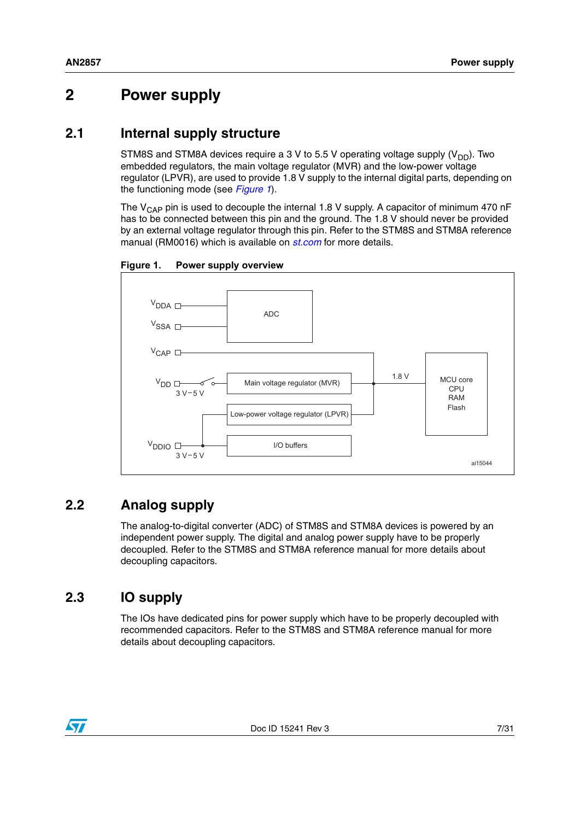# <span id="page-6-0"></span>**2 Power supply**

# <span id="page-6-1"></span>**2.1 Internal supply structure**

STM8S and STM8A devices require a 3 V to 5.5 V operating voltage supply  $(V_{DD})$ . Two embedded regulators, the main voltage regulator (MVR) and the low-power voltage regulator (LPVR), are used to provide 1.8 V supply to the internal digital parts, depending on the functioning mode (see *[Figure 1](#page-6-4)*).

The  $V_{\text{CAP}}$  pin is used to decouple the internal 1.8 V supply. A capacitor of minimum 470 nF has to be connected between this pin and the ground. The 1.8 V should never be provided by an external voltage regulator through this pin. Refer to the STM8S and STM8A reference manual (RM0016) which is available on *[st.com](http://www.st.com)* for more details.



<span id="page-6-4"></span>**Figure 1. Power supply overview**

# <span id="page-6-2"></span>**2.2 Analog supply**

The analog-to-digital converter (ADC) of STM8S and STM8A devices is powered by an independent power supply. The digital and analog power supply have to be properly decoupled. Refer to the STM8S and STM8A reference manual for more details about decoupling capacitors.

# <span id="page-6-3"></span>**2.3 IO supply**

The IOs have dedicated pins for power supply which have to be properly decoupled with recommended capacitors. Refer to the STM8S and STM8A reference manual for more details about decoupling capacitors.

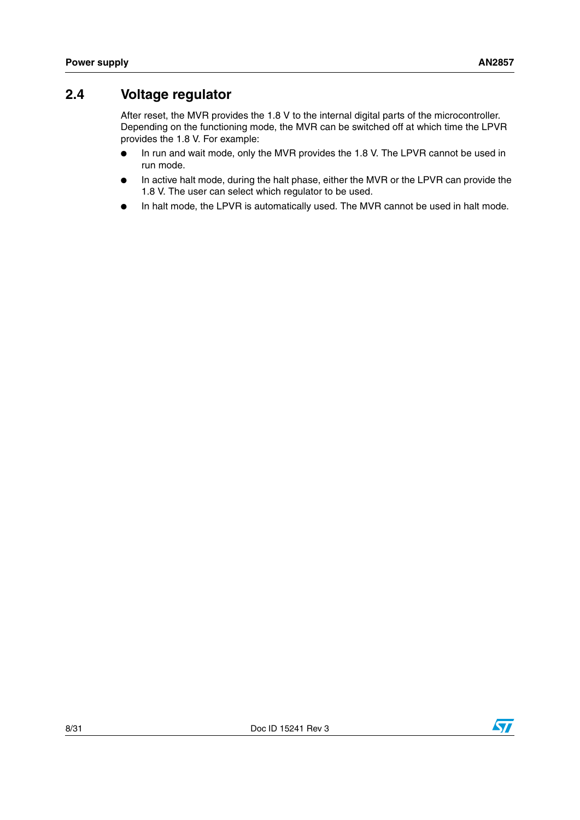# <span id="page-7-0"></span>**2.4 Voltage regulator**

After reset, the MVR provides the 1.8 V to the internal digital parts of the microcontroller. Depending on the functioning mode, the MVR can be switched off at which time the LPVR provides the 1.8 V. For example:

- In run and wait mode, only the MVR provides the 1.8 V. The LPVR cannot be used in run mode.
- In active halt mode, during the halt phase, either the MVR or the LPVR can provide the 1.8 V. The user can select which regulator to be used.
- In halt mode, the LPVR is automatically used. The MVR cannot be used in halt mode.

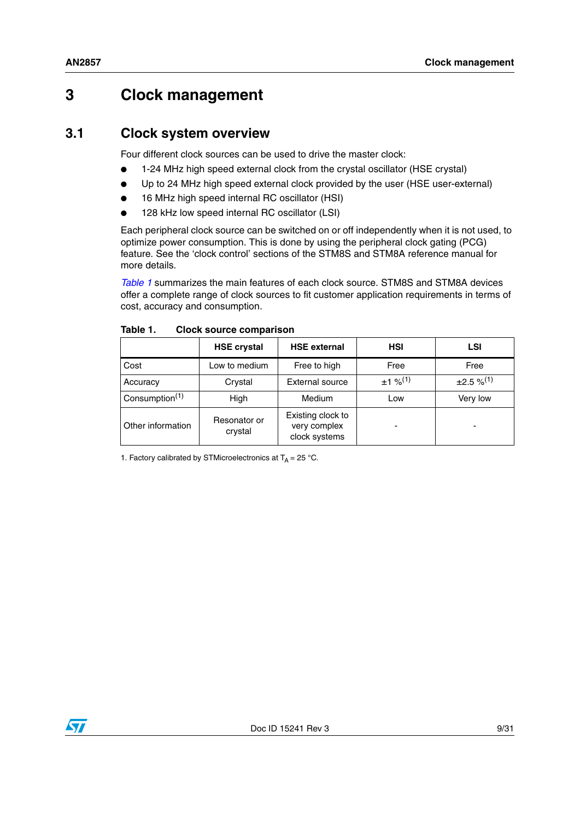# <span id="page-8-0"></span>**3 Clock management**

# <span id="page-8-1"></span>**3.1 Clock system overview**

Four different clock sources can be used to drive the master clock:

- 1-24 MHz high speed external clock from the crystal oscillator (HSE crystal)
- Up to 24 MHz high speed external clock provided by the user (HSE user-external)
- 16 MHz high speed internal RC oscillator (HSI)
- 128 kHz low speed internal RC oscillator (LSI)

Each peripheral clock source can be switched on or off independently when it is not used, to optimize power consumption. This is done by using the peripheral clock gating (PCG) feature. See the 'clock control' sections of the STM8S and STM8A reference manual for more details.

*[Table 1](#page-8-2)* summarizes the main features of each clock source. STM8S and STM8A devices offer a complete range of clock sources to fit customer application requirements in terms of cost, accuracy and consumption.

|                   | <b>HSE crystal</b>      | <b>HSE external</b>                                | <b>HSI</b>            | LSI                |
|-------------------|-------------------------|----------------------------------------------------|-----------------------|--------------------|
| Cost              | Low to medium           | Free to high                                       | Free                  | Free               |
| Accuracy          | Crystal                 | External source                                    | $±1\%$ <sup>(1)</sup> | $\pm 2.5 \%^{(1)}$ |
| Consumption $(1)$ | High                    | <b>Medium</b>                                      | Low                   | Very low           |
| Other information | Resonator or<br>crystal | Existing clock to<br>very complex<br>clock systems | -                     | -                  |

<span id="page-8-2"></span>Table 1. **Clock source comparison** 

1. Factory calibrated by STMicroelectronics at  $T_A = 25 \degree C$ .

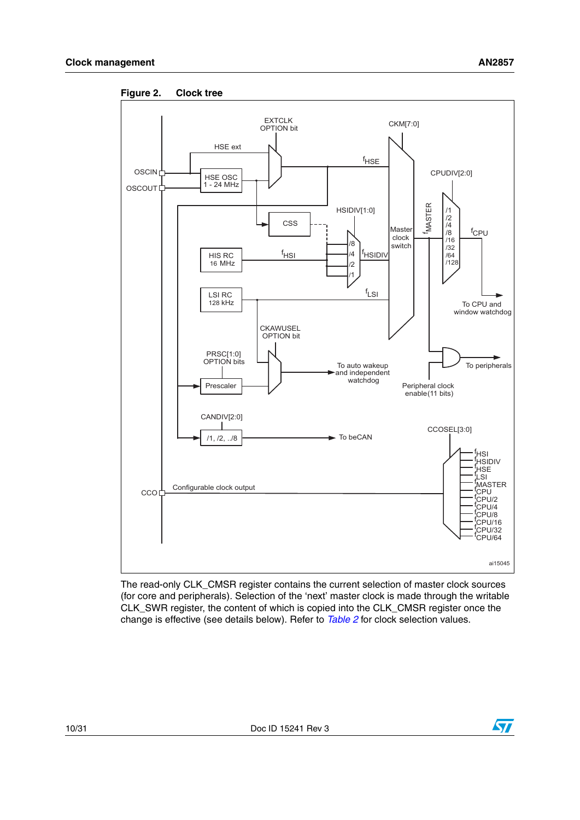

<span id="page-9-0"></span>**Figure 2. Clock tree**

The read-only CLK\_CMSR register contains the current selection of master clock sources (for core and peripherals). Selection of the 'next' master clock is made through the writable CLK\_SWR register, the content of which is copied into the CLK\_CMSR register once the change is effective (see details below). Refer to *[Table 2](#page-10-1)* for clock selection values.

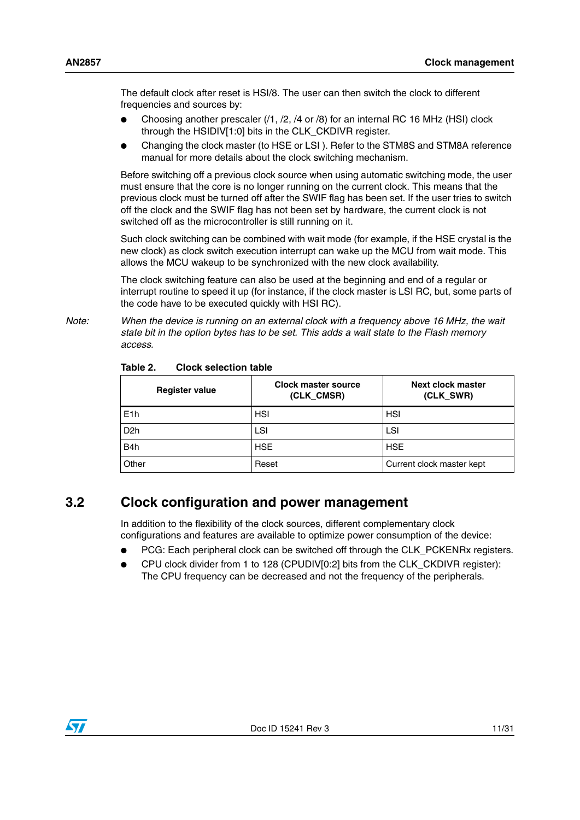The default clock after reset is HSI/8. The user can then switch the clock to different frequencies and sources by:

- Choosing another prescaler  $(1, 2, 4$  or  $/8)$  for an internal RC 16 MHz (HSI) clock through the HSIDIV[1:0] bits in the CLK\_CKDIVR register.
- Changing the clock master (to HSE or LSI). Refer to the STM8S and STM8A reference manual for more details about the clock switching mechanism.

Before switching off a previous clock source when using automatic switching mode, the user must ensure that the core is no longer running on the current clock. This means that the previous clock must be turned off after the SWIF flag has been set. If the user tries to switch off the clock and the SWIF flag has not been set by hardware, the current clock is not switched off as the microcontroller is still running on it.

Such clock switching can be combined with wait mode (for example, if the HSE crystal is the new clock) as clock switch execution interrupt can wake up the MCU from wait mode. This allows the MCU wakeup to be synchronized with the new clock availability.

The clock switching feature can also be used at the beginning and end of a regular or interrupt routine to speed it up (for instance, if the clock master is LSI RC, but, some parts of the code have to be executed quickly with HSI RC).

*Note: When the device is running on an external clock with a frequency above 16 MHz, the wait state bit in the option bytes has to be set. This adds a wait state to the Flash memory access.*

| <b>Register value</b> | <b>Clock master source</b><br>(CLK_CMSR) | Next clock master<br>(CLK_SWR) |
|-----------------------|------------------------------------------|--------------------------------|
| E1h                   | <b>HSI</b>                               | <b>HSI</b>                     |
| D <sub>2</sub> h      | LSI                                      | LSI                            |
| B4h                   | <b>HSE</b>                               | <b>HSE</b>                     |
| Other                 | Reset                                    | Current clock master kept      |

<span id="page-10-1"></span>Table 2 **Clock selection table** 

# <span id="page-10-0"></span>**3.2 Clock configuration and power management**

In addition to the flexibility of the clock sources, different complementary clock configurations and features are available to optimize power consumption of the device:

- PCG: Each peripheral clock can be switched off through the CLK\_PCKENRx registers.
- CPU clock divider from 1 to 128 (CPUDIV[0:2] bits from the CLK\_CKDIVR register): The CPU frequency can be decreased and not the frequency of the peripherals.

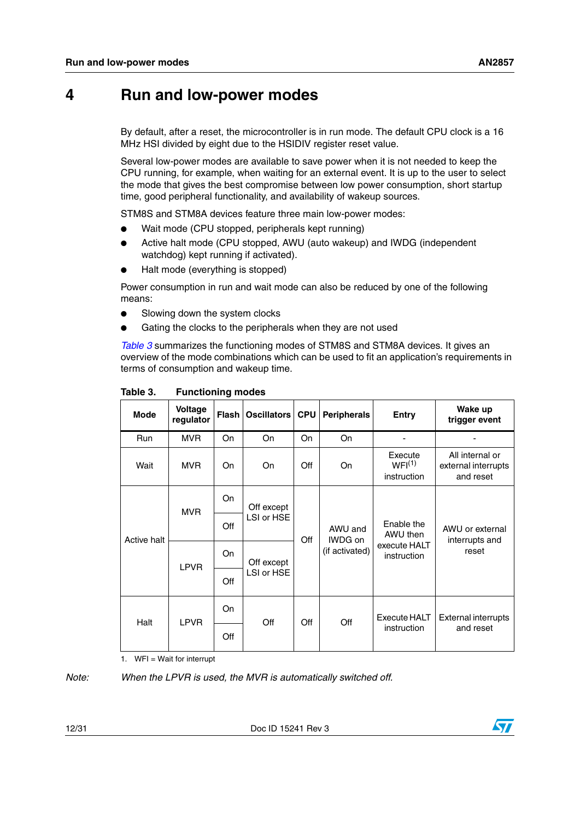# <span id="page-11-0"></span>**4 Run and low-power modes**

By default, after a reset, the microcontroller is in run mode. The default CPU clock is a 16 MHz HSI divided by eight due to the HSIDIV register reset value.

Several low-power modes are available to save power when it is not needed to keep the CPU running, for example, when waiting for an external event. It is up to the user to select the mode that gives the best compromise between low power consumption, short startup time, good peripheral functionality, and availability of wakeup sources.

STM8S and STM8A devices feature three main low-power modes:

- Wait mode (CPU stopped, peripherals kept running)
- Active halt mode (CPU stopped, AWU (auto wakeup) and IWDG (independent watchdog) kept running if activated).
- Halt mode (everything is stopped)

Power consumption in run and wait mode can also be reduced by one of the following means:

- **.** Slowing down the system clocks
- Gating the clocks to the peripherals when they are not used

*[Table 3](#page-11-1)* summarizes the functioning modes of STM8S and STM8A devices. It gives an overview of the mode combinations which can be used to fit an application's requirements in terms of consumption and wakeup time.

| <b>Mode</b> | <b>Voltage</b><br>regulator | Flash I           | Oscillators              | <b>CPU</b> | <b>Peripherals</b>                   | <b>Entry</b>                                          | Wake up<br>trigger event                            |
|-------------|-----------------------------|-------------------|--------------------------|------------|--------------------------------------|-------------------------------------------------------|-----------------------------------------------------|
| <b>Run</b>  | <b>MVR</b>                  | On.               | On                       | On.        | <b>On</b>                            |                                                       |                                                     |
| Wait        | <b>MVR</b>                  | On.               | On                       | Off        | On                                   | Execute<br>WFI <sup>(1)</sup><br>instruction          | All internal or<br>external interrupts<br>and reset |
| Active halt | <b>MVR</b><br><b>LPVR</b>   | On                | Off except<br>LSI or HSE | Off        | AWU and<br>IWDG on<br>(if activated) | Enable the<br>AWU then<br>execute HALT<br>instruction | AWU or external<br>interrupts and<br>reset          |
|             |                             | Off               |                          |            |                                      |                                                       |                                                     |
|             |                             | On                | Off except               |            |                                      |                                                       |                                                     |
|             |                             | LSI or HSE<br>Off |                          |            |                                      |                                                       |                                                     |
| Halt        | <b>LPVR</b>                 | On                | Off                      | Off        | Off                                  | Execute HALT                                          | External interrupts                                 |
|             |                             | Off               | instruction              |            | and reset                            |                                                       |                                                     |

<span id="page-11-1"></span>Table 3. **Functioning modes** 

1. WFI = Wait for interrupt

*Note: When the LPVR is used, the MVR is automatically switched off.*

12/31 Doc ID 15241 Rev 3

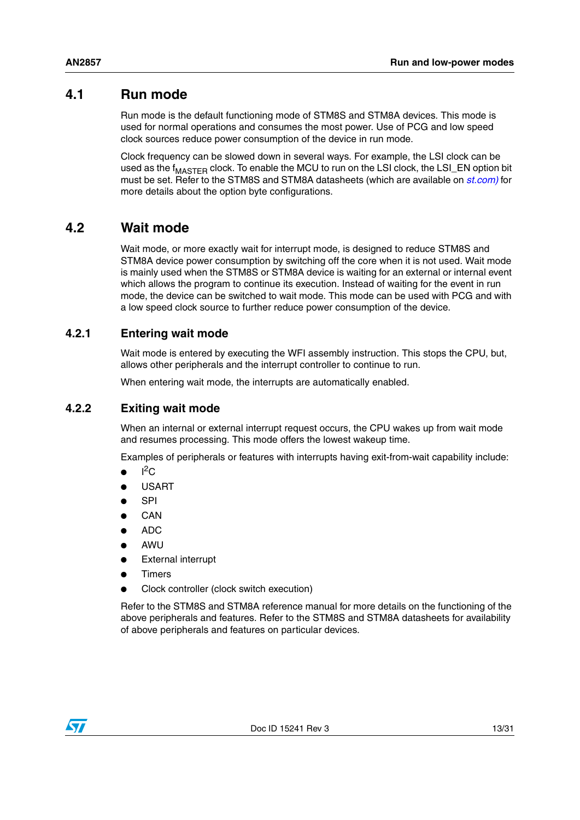# <span id="page-12-0"></span>**4.1 Run mode**

Run mode is the default functioning mode of STM8S and STM8A devices. This mode is used for normal operations and consumes the most power. Use of PCG and low speed clock sources reduce power consumption of the device in run mode.

Clock frequency can be slowed down in several ways. For example, the LSI clock can be used as the  $f_{\text{MASTER}}$  clock. To enable the MCU to run on the LSI clock, the LSI EN option bit must be set. Refer to the STM8S and STM8A datasheets (which are available on *[st.com\)](http://www.st.com)* for more details about the option byte configurations.

# <span id="page-12-1"></span>**4.2 Wait mode**

Wait mode, or more exactly wait for interrupt mode, is designed to reduce STM8S and STM8A device power consumption by switching off the core when it is not used. Wait mode is mainly used when the STM8S or STM8A device is waiting for an external or internal event which allows the program to continue its execution. Instead of waiting for the event in run mode, the device can be switched to wait mode. This mode can be used with PCG and with a low speed clock source to further reduce power consumption of the device.

## <span id="page-12-2"></span>**4.2.1 Entering wait mode**

Wait mode is entered by executing the WFI assembly instruction. This stops the CPU, but, allows other peripherals and the interrupt controller to continue to run.

When entering wait mode, the interrupts are automatically enabled.

### <span id="page-12-3"></span>**4.2.2 Exiting wait mode**

When an internal or external interrupt request occurs, the CPU wakes up from wait mode and resumes processing. This mode offers the lowest wakeup time.

Examples of peripherals or features with interrupts having exit-from-wait capability include:

- $\bullet$  I<sup>2</sup>C
- **USART**
- **SPI**
- **CAN**
- ADC
- **AWU**
- **External interrupt**
- **Timers**
- Clock controller (clock switch execution)

Refer to the STM8S and STM8A reference manual for more details on the functioning of the above peripherals and features. Refer to the STM8S and STM8A datasheets for availability of above peripherals and features on particular devices.

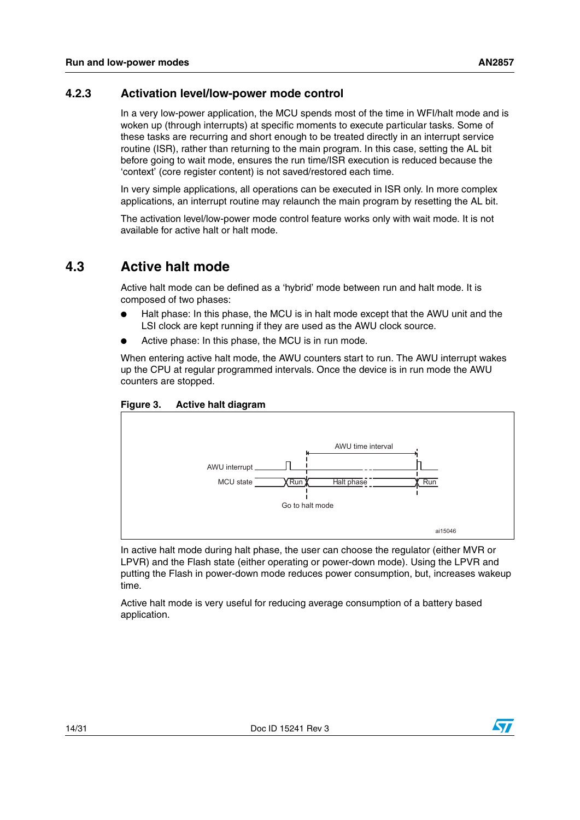## <span id="page-13-0"></span>**4.2.3 Activation level/low-power mode control**

In a very low-power application, the MCU spends most of the time in WFI/halt mode and is woken up (through interrupts) at specific moments to execute particular tasks. Some of these tasks are recurring and short enough to be treated directly in an interrupt service routine (ISR), rather than returning to the main program. In this case, setting the AL bit before going to wait mode, ensures the run time/ISR execution is reduced because the 'context' (core register content) is not saved/restored each time.

In very simple applications, all operations can be executed in ISR only. In more complex applications, an interrupt routine may relaunch the main program by resetting the AL bit.

The activation level/low-power mode control feature works only with wait mode. It is not available for active halt or halt mode.

# <span id="page-13-1"></span>**4.3 Active halt mode**

Active halt mode can be defined as a 'hybrid' mode between run and halt mode. It is composed of two phases:

- Halt phase: In this phase, the MCU is in halt mode except that the AWU unit and the LSI clock are kept running if they are used as the AWU clock source.
- Active phase: In this phase, the MCU is in run mode.

When entering active halt mode, the AWU counters start to run. The AWU interrupt wakes up the CPU at regular programmed intervals. Once the device is in run mode the AWU counters are stopped.

<span id="page-13-2"></span>



In active halt mode during halt phase, the user can choose the regulator (either MVR or LPVR) and the Flash state (either operating or power-down mode). Using the LPVR and putting the Flash in power-down mode reduces power consumption, but, increases wakeup time.

Active halt mode is very useful for reducing average consumption of a battery based application.

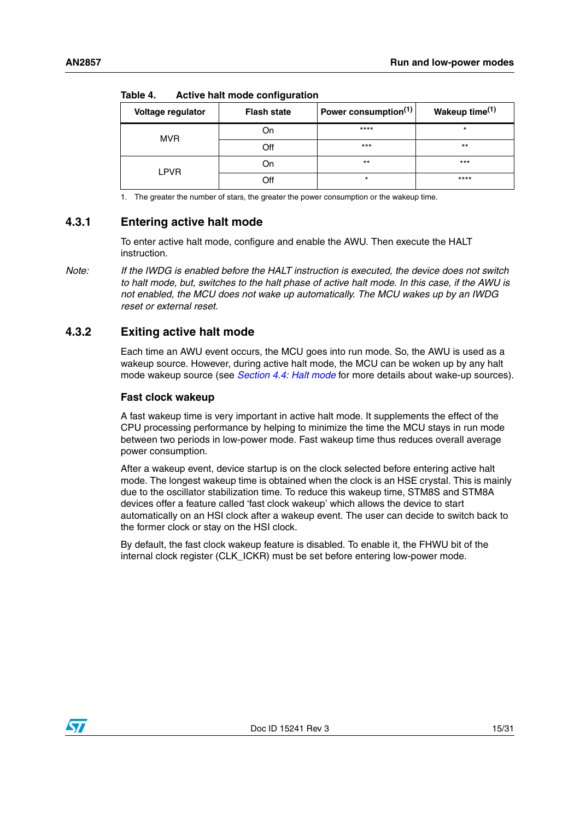| .                 |                    |                                  |                            |  |  |
|-------------------|--------------------|----------------------------------|----------------------------|--|--|
| Voltage regulator | <b>Flash state</b> | Power consumption <sup>(1)</sup> | Wakeup time <sup>(1)</sup> |  |  |
| <b>MVR</b>        | On                 | $***$ **                         | $\star$                    |  |  |
|                   | Off                | $***$                            | $***$                      |  |  |
| <b>LPVR</b>       | On                 | $***$                            | $***$                      |  |  |
|                   | Off                | $\star$                          | $***$                      |  |  |

<span id="page-14-2"></span>Table  $\boldsymbol{\Lambda}$ **Table 4. Active halt mode configuration**

1. The greater the number of stars, the greater the power consumption or the wakeup time.

#### <span id="page-14-0"></span>**4.3.1 Entering active halt mode**

To enter active halt mode, configure and enable the AWU. Then execute the HALT instruction.

*Note: If the IWDG is enabled before the HALT instruction is executed, the device does not switch to halt mode, but, switches to the halt phase of active halt mode. In this case, if the AWU is not enabled, the MCU does not wake up automatically. The MCU wakes up by an IWDG reset or external reset.*

## <span id="page-14-1"></span>**4.3.2 Exiting active halt mode**

Each time an AWU event occurs, the MCU goes into run mode. So, the AWU is used as a wakeup source. However, during active halt mode, the MCU can be woken up by any halt mode wakeup source (see *[Section 4.4: Halt mode](#page-16-0)* for more details about wake-up sources).

#### **Fast clock wakeup**

A fast wakeup time is very important in active halt mode. It supplements the effect of the CPU processing performance by helping to minimize the time the MCU stays in run mode between two periods in low-power mode. Fast wakeup time thus reduces overall average power consumption.

After a wakeup event, device startup is on the clock selected before entering active halt mode. The longest wakeup time is obtained when the clock is an HSE crystal. This is mainly due to the oscillator stabilization time. To reduce this wakeup time, STM8S and STM8A devices offer a feature called 'fast clock wakeup' which allows the device to start automatically on an HSI clock after a wakeup event. The user can decide to switch back to the former clock or stay on the HSI clock.

By default, the fast clock wakeup feature is disabled. To enable it, the FHWU bit of the internal clock register (CLK\_ICKR) must be set before entering low-power mode.

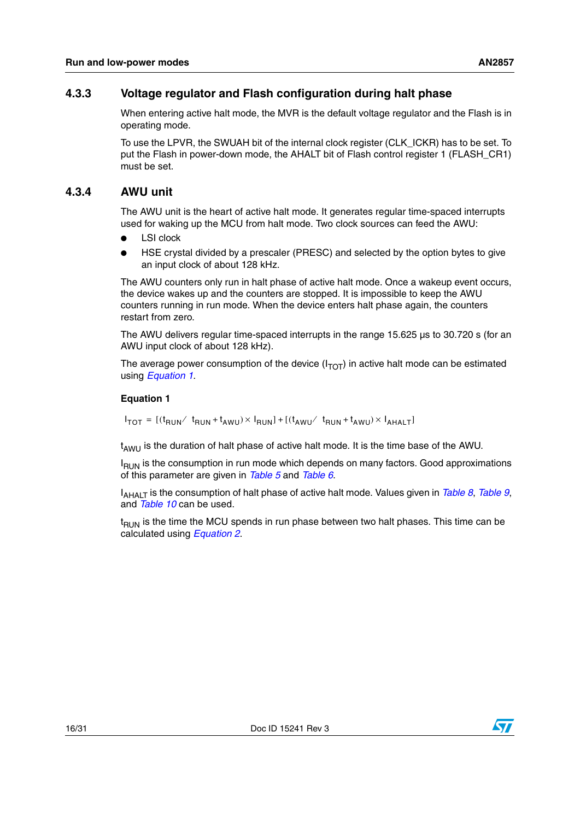## <span id="page-15-0"></span>**4.3.3 Voltage regulator and Flash configuration during halt phase**

When entering active halt mode, the MVR is the default voltage regulator and the Flash is in operating mode.

To use the LPVR, the SWUAH bit of the internal clock register (CLK\_ICKR) has to be set. To put the Flash in power-down mode, the AHALT bit of Flash control register 1 (FLASH\_CR1) must be set.

## <span id="page-15-1"></span>**4.3.4 AWU unit**

The AWU unit is the heart of active halt mode. It generates regular time-spaced interrupts used for waking up the MCU from halt mode. Two clock sources can feed the AWU:

- **LSI** clock
- HSE crystal divided by a prescaler (PRESC) and selected by the option bytes to give an input clock of about 128 kHz.

The AWU counters only run in halt phase of active halt mode. Once a wakeup event occurs, the device wakes up and the counters are stopped. It is impossible to keep the AWU counters running in run mode. When the device enters halt phase again, the counters restart from zero.

The AWU delivers regular time-spaced interrupts in the range 15.625 µs to 30.720 s (for an AWU input clock of about 128 kHz).

The average power consumption of the device  $(I_{TOT})$  in active halt mode can be estimated using *Equation 1*.

#### **Equation 1**

 $I_{TOT} = [(t_{RUN}/ t_{RUN} + t_{AWU}) \times I_{RUN}] + [(t_{AWU}/ t_{RUN} + t_{AWU}) \times I_{AHALT}]$ 

 $t_{AWU}$  is the duration of halt phase of active halt mode. It is the time base of the AWU.

 $I_{\text{RUN}}$  is the consumption in run mode which depends on many factors. Good approximations of this parameter are given in *[Table 5](#page-20-1)* and *[Table 6](#page-20-2)*.

I<sub>AHALT</sub> is the consumption of halt phase of active halt mode. Values given in *[Table 8](#page-22-2)*, *[Table 9](#page-22-3)*, and *[Table 10](#page-22-4)* can be used.

 $t<sub>RUN</sub>$  is the time the MCU spends in run phase between two halt phases. This time can be calculated using *Equation 2*.

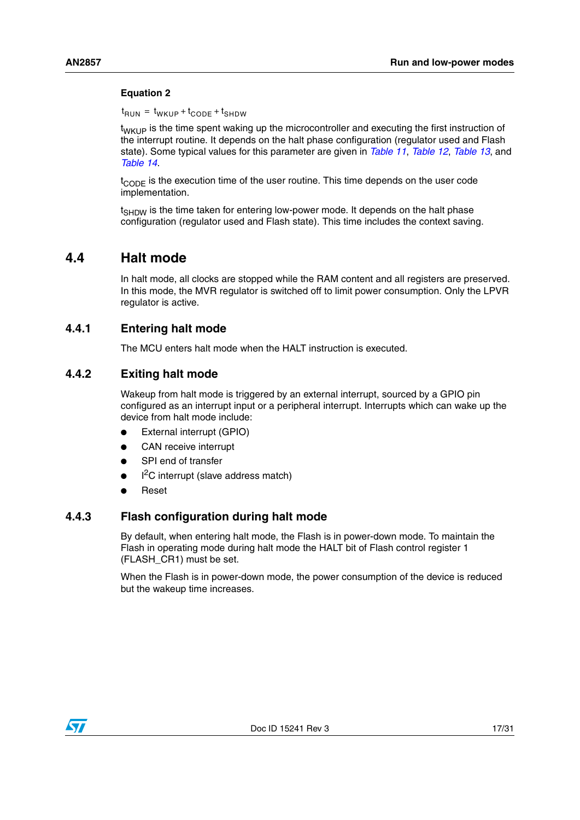#### **Equation 2**

 $t_{\mathsf{RUN}}$  =  $t_{\mathsf{WKUP}}$  +  $t_{\mathsf{CODE}}$  +  $t_{\mathsf{SHDW}}$ 

 $t_{WKL}$  is the time spent waking up the microcontroller and executing the first instruction of the interrupt routine. It depends on the halt phase configuration (regulator used and Flash state). Some typical values for this parameter are given in *[Table 11](#page-24-2)*, *[Table 12](#page-25-1)*, *[Table 13](#page-26-1)*, and *[Table 14](#page-26-2)*.

 $t_{\text{CODF}}$  is the execution time of the user routine. This time depends on the user code implementation.

t<sub>SHDW</sub> is the time taken for entering low-power mode. It depends on the halt phase configuration (regulator used and Flash state). This time includes the context saving.

## <span id="page-16-0"></span>**4.4 Halt mode**

In halt mode, all clocks are stopped while the RAM content and all registers are preserved. In this mode, the MVR regulator is switched off to limit power consumption. Only the LPVR regulator is active.

### <span id="page-16-1"></span>**4.4.1 Entering halt mode**

The MCU enters halt mode when the HALT instruction is executed.

#### <span id="page-16-2"></span>**4.4.2 Exiting halt mode**

Wakeup from halt mode is triggered by an external interrupt, sourced by a GPIO pin configured as an interrupt input or a peripheral interrupt. Interrupts which can wake up the device from halt mode include:

- External interrupt (GPIO)
- CAN receive interrupt
- SPI end of transfer
- $\bullet$  I<sup>2</sup>C interrupt (slave address match)
- **Reset**

## <span id="page-16-3"></span>**4.4.3 Flash configuration during halt mode**

By default, when entering halt mode, the Flash is in power-down mode. To maintain the Flash in operating mode during halt mode the HALT bit of Flash control register 1 (FLASH\_CR1) must be set.

When the Flash is in power-down mode, the power consumption of the device is reduced but the wakeup time increases.

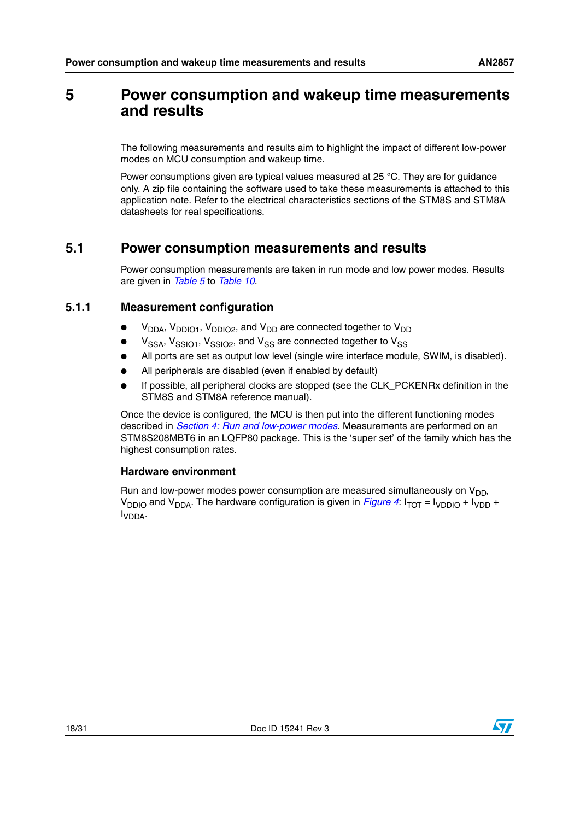# <span id="page-17-0"></span>**5 Power consumption and wakeup time measurements and results**

The following measurements and results aim to highlight the impact of different low-power modes on MCU consumption and wakeup time.

Power consumptions given are typical values measured at 25 °C. They are for guidance only. A zip file containing the software used to take these measurements is attached to this application note. Refer to the electrical characteristics sections of the STM8S and STM8A datasheets for real specifications.

# <span id="page-17-1"></span>**5.1 Power consumption measurements and results**

Power consumption measurements are taken in run mode and low power modes. Results are given in *[Table 5](#page-20-1)* to *[Table 10](#page-22-4)*.

## <span id="page-17-2"></span>**5.1.1 Measurement configuration**

- $V<sub>DDA</sub>$ ,  $V<sub>DDIO1</sub>$ ,  $V<sub>DDIO2</sub>$ , and  $V<sub>DD</sub>$  are connected together to  $V<sub>DD</sub>$
- $V<sub>SSA</sub>$ ,  $V<sub>SSIO1</sub>$ ,  $V<sub>SSIO2</sub>$ , and  $V<sub>SS</sub>$  are connected together to  $V<sub>SS</sub>$
- All ports are set as output low level (single wire interface module, SWIM, is disabled).
- All peripherals are disabled (even if enabled by default)
- If possible, all peripheral clocks are stopped (see the CLK, PCKENRx definition in the STM8S and STM8A reference manual).

Once the device is configured, the MCU is then put into the different functioning modes described in *[Section 4: Run and low-power modes](#page-11-0)*. Measurements are performed on an STM8S208MBT6 in an LQFP80 package. This is the 'super set' of the family which has the highest consumption rates.

#### **Hardware environment**

Run and low-power modes power consumption are measured simultaneously on  $V_{DD}$ ,  $V_{DDIO}$  and  $V_{DDA}$ . The hardware configuration is given in *[Figure 4](#page-18-0)*:  $I_{TOT} = I_{VDD0} + I_{VDD} + I_{VDD}$ IVDDA.

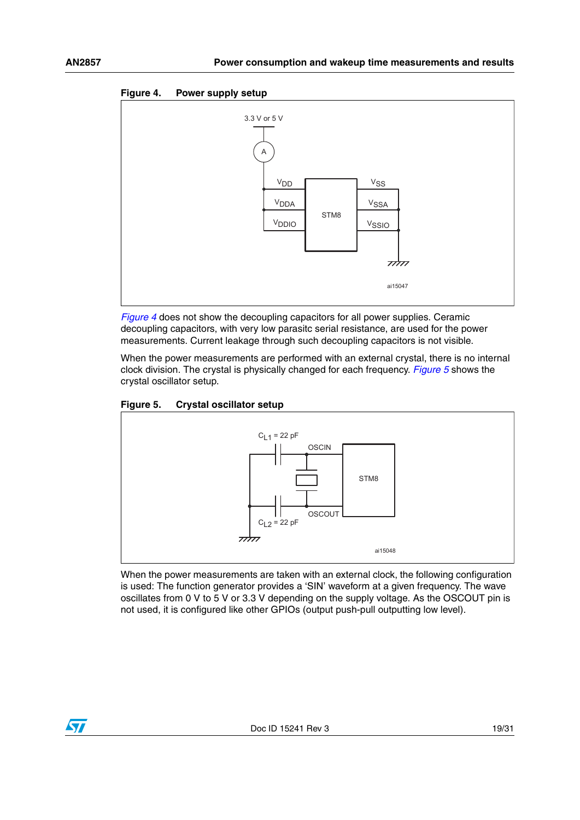<span id="page-18-0"></span>



*[Figure 4](#page-18-0)* does not show the decoupling capacitors for all power supplies. Ceramic decoupling capacitors, with very low parasitc serial resistance, are used for the power measurements. Current leakage through such decoupling capacitors is not visible.

When the power measurements are performed with an external crystal, there is no internal clock division. The crystal is physically changed for each frequency. *[Figure 5](#page-18-1)* shows the crystal oscillator setup.

<span id="page-18-1"></span>



When the power measurements are taken with an external clock, the following configuration is used: The function generator provides a 'SIN' waveform at a given frequency. The wave oscillates from 0 V to 5 V or 3.3 V depending on the supply voltage. As the OSCOUT pin is not used, it is configured like other GPIOs (output push-pull outputting low level).

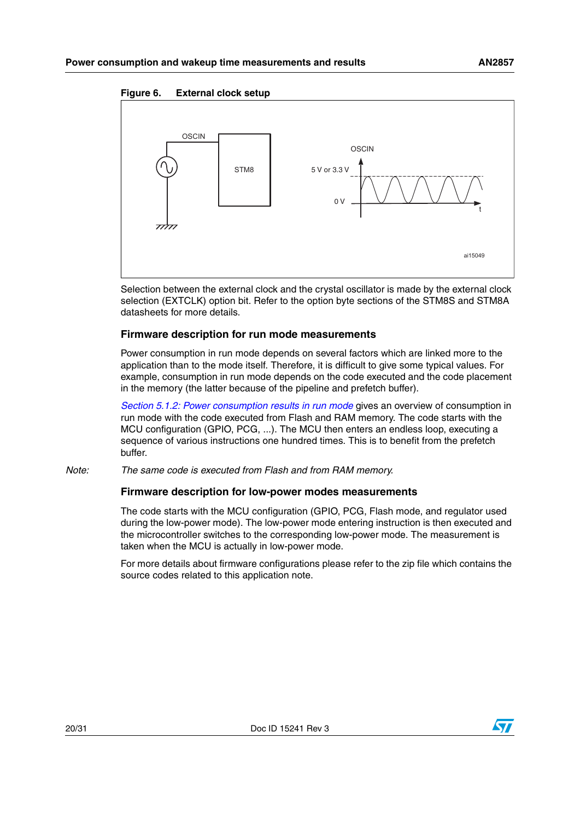#### <span id="page-19-0"></span>**Figure 6. External clock setup**



Selection between the external clock and the crystal oscillator is made by the external clock selection (EXTCLK) option bit. Refer to the option byte sections of the STM8S and STM8A datasheets for more details.

#### **Firmware description for run mode measurements**

Power consumption in run mode depends on several factors which are linked more to the application than to the mode itself. Therefore, it is difficult to give some typical values. For example, consumption in run mode depends on the code executed and the code placement in the memory (the latter because of the pipeline and prefetch buffer).

*[Section 5.1.2: Power consumption results in run mode](#page-20-0)* gives an overview of consumption in run mode with the code executed from Flash and RAM memory. The code starts with the MCU configuration (GPIO, PCG, ...). The MCU then enters an endless loop, executing a sequence of various instructions one hundred times. This is to benefit from the prefetch buffer.

*Note: The same code is executed from Flash and from RAM memory.*

#### **Firmware description for low-power modes measurements**

The code starts with the MCU configuration (GPIO, PCG, Flash mode, and regulator used during the low-power mode). The low-power mode entering instruction is then executed and the microcontroller switches to the corresponding low-power mode. The measurement is taken when the MCU is actually in low-power mode.

For more details about firmware configurations please refer to the zip file which contains the source codes related to this application note.

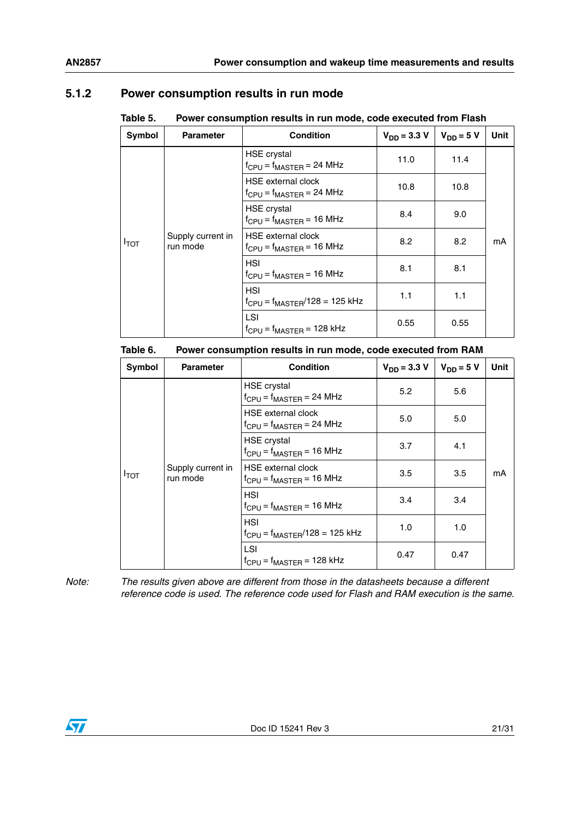# <span id="page-20-0"></span>**5.1.2 Power consumption results in run mode**

<span id="page-20-1"></span>

| Table 5. | Power consumption results in run mode, code executed from Flash |
|----------|-----------------------------------------------------------------|
|          |                                                                 |

| Symbol | <b>Parameter</b>              | <b>Condition</b>                                             | $V_{DD} = 3.3 V$ | $V_{DD} = 5 V$ | <b>Unit</b> |
|--------|-------------------------------|--------------------------------------------------------------|------------------|----------------|-------------|
| Ітот   | Supply current in<br>run mode | <b>HSE</b> crystal<br>$f_{CPU} = f_{MASTER} = 24 MHz$        | 11.0             | 11.4           |             |
|        |                               | <b>HSE</b> external clock<br>$f_{CPU} = f_{MASTER} = 24 MHz$ | 10.8             | 10.8           |             |
|        |                               | <b>HSE</b> crystal<br>$f_{CPU} = f_{MASTER} = 16 MHz$        | 8.4              | 9.0            |             |
|        |                               | <b>HSE</b> external clock<br>$f_{CPU} = f_{MASTER} = 16 MHz$ | 8.2              | 8.2            | mA          |
|        |                               | HSI<br>$f_{CPU} = f_{MASTER} = 16 MHz$                       | 8.1              | 8.1            |             |
|        |                               | HSI<br>$f_{CPU} = f_{MASTER}/128 = 125$ kHz                  | 1.1              | 1.1            |             |
|        |                               | LSI<br>$f_{CPU} = f_{MASTER} = 128$ kHz                      | 0.55             | 0.55           |             |

#### <span id="page-20-2"></span>Table 6. **Power consumption results in run mode, code executed from RAM**

| Symbol           | <b>Parameter</b>              | <b>Condition</b>                                             | $V_{DD} = 3.3 V$ | $V_{DD} = 5 V$ | <b>Unit</b> |
|------------------|-------------------------------|--------------------------------------------------------------|------------------|----------------|-------------|
| $I_{\text{TOT}}$ | Supply current in<br>run mode | <b>HSE</b> crystal<br>$f_{CPU} = f_{MASTER} = 24 MHz$        | 5.2              | 5.6            |             |
|                  |                               | <b>HSE</b> external clock<br>$f_{CPU} = f_{MASTER} = 24 MHz$ | 5.0              | 5.0            |             |
|                  |                               | <b>HSE</b> crystal<br>$f_{CPU} = f_{MASTER} = 16 MHz$        | 3.7              | 4.1            |             |
|                  |                               | <b>HSE</b> external clock<br>$f_{CPU} = f_{MASTER} = 16 MHz$ | 3.5              | 3.5            | mA          |
|                  |                               | <b>HSI</b><br>$f_{CPU} = f_{MASTER} = 16 MHz$                | 3.4              | 3.4            |             |
|                  |                               | <b>HSI</b><br>$f_{CPU} = f_{MASTER}/128 = 125$ kHz           | 1.0              | 1.0            |             |
|                  |                               | <b>LSI</b><br>$f_{CPU} = f_{MASTER} = 128$ kHz               | 0.47             | 0.47           |             |

*Note: The results given above are different from those in the datasheets because a different reference code is used. The reference code used for Flash and RAM execution is the same.*

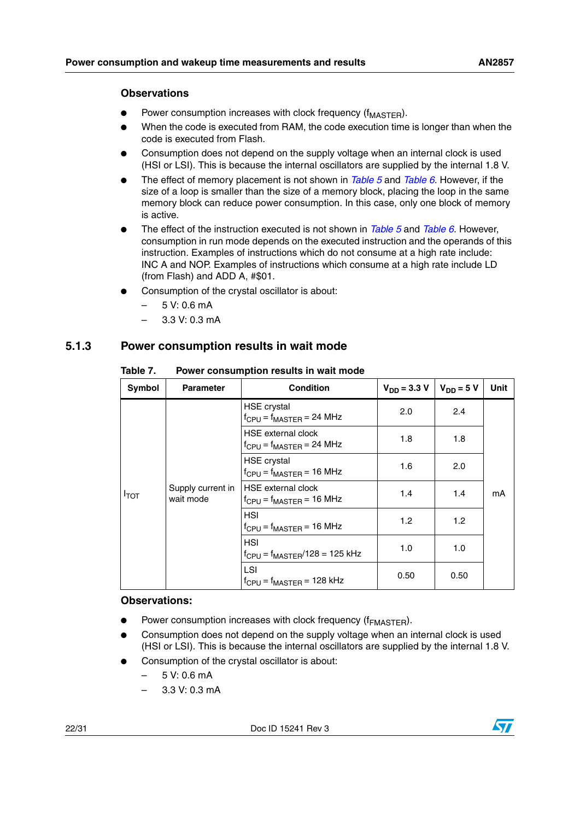#### **Observations**

- Power consumption increases with clock frequency ( $f_{\text{MASTER}}$ ).
- When the code is executed from RAM, the code execution time is longer than when the code is executed from Flash.
- Consumption does not depend on the supply voltage when an internal clock is used (HSI or LSI). This is because the internal oscillators are supplied by the internal 1.8 V.
- The effect of memory placement is not shown in *[Table 5](#page-20-1)* and *[Table 6](#page-20-2)*. However, if the size of a loop is smaller than the size of a memory block, placing the loop in the same memory block can reduce power consumption. In this case, only one block of memory is active.
- The effect of the instruction executed is not shown in *[Table 5](#page-20-1)* and *[Table 6](#page-20-2)*. However, consumption in run mode depends on the executed instruction and the operands of this instruction. Examples of instructions which do not consume at a high rate include: INC A and NOP. Examples of instructions which consume at a high rate include LD (from Flash) and ADD A, #\$01.
- Consumption of the crystal oscillator is about:
	- 5 V: 0.6 mA
	- 3.3 V: 0.3 mA

## <span id="page-21-0"></span>**5.1.3 Power consumption results in wait mode**

| Symbol           | <b>Parameter</b>               | <b>Condition</b>                                             | $V_{DD} = 3.3 V$ | $V_{DD} = 5 V$ | Unit |
|------------------|--------------------------------|--------------------------------------------------------------|------------------|----------------|------|
| $I_{\text{TOT}}$ | Supply current in<br>wait mode | HSE crystal<br>$f_{CPU} = f_{MASTER} = 24 MHz$               | 2.0              | 2.4            |      |
|                  |                                | <b>HSE</b> external clock<br>$f_{CPU} = f_{MASTER} = 24 MHz$ | 1.8              | 1.8            |      |
|                  |                                | <b>HSE</b> crystal<br>$f_{CPU} = f_{MASTER} = 16 MHz$        | 1.6              | 2.0            | mA   |
|                  |                                | <b>HSE</b> external clock<br>$f_{CPU} = f_{MASTER} = 16 MHz$ | 1.4              | 1.4            |      |
|                  |                                | <b>HSI</b><br>$f_{CPU} = f_{MASTER} = 16 MHz$                | 1.2              | 1.2            |      |
|                  |                                | <b>HSI</b><br>$f_{CPU} = f_{MASTER}/128 = 125$ kHz           | 1.0              | 1.0            |      |
|                  |                                | LSI<br>$f_{CPU} = f_{MASTER} = 128$ kHz                      | 0.50             | 0.50           |      |

#### <span id="page-21-1"></span>Table 7. **Power consumption results in wait mode**

#### **Observations:**

- Power consumption increases with clock frequency ( $f<sub>FMASTER</sub>$ ).
- Consumption does not depend on the supply voltage when an internal clock is used (HSI or LSI). This is because the internal oscillators are supplied by the internal 1.8 V.
- Consumption of the crystal oscillator is about:
	- 5 V: 0.6 mA
	- 3.3 V: 0.3 mA

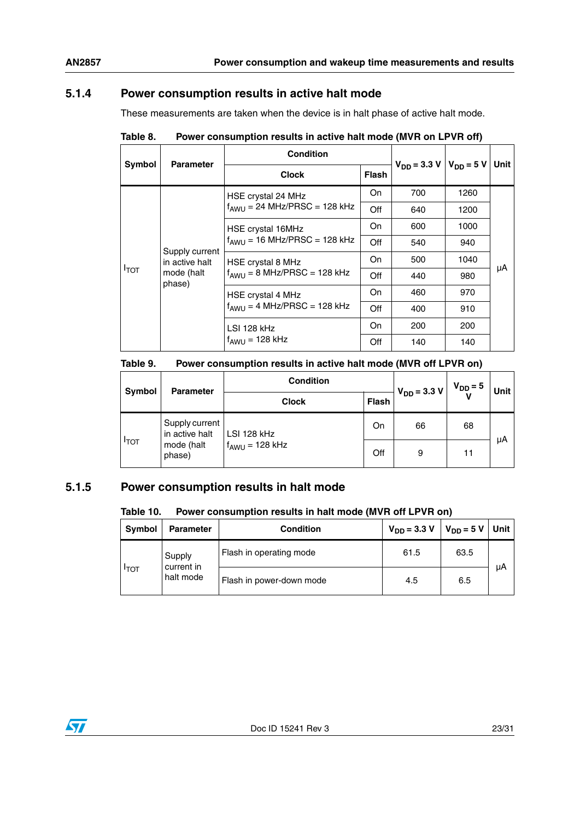## <span id="page-22-0"></span>**5.1.4 Power consumption results in active halt mode**

These measurements are taken when the device is in halt phase of active halt mode.

|                            | <b>Parameter</b>                 | Condition                                             | $V_{DD} = 3.3 V   V_{DD} = 5 V$ |     | Unit I |    |
|----------------------------|----------------------------------|-------------------------------------------------------|---------------------------------|-----|--------|----|
| Symbol                     |                                  | <b>Clock</b>                                          | <b>Flash</b>                    |     |        |    |
|                            |                                  | HSE crystal 24 MHz                                    | On                              | 700 | 1260   |    |
| $I_{\text{TOT}}$<br>phase) |                                  | $f_{AWU}$ = 24 MHz/PRSC = 128 kHz                     | Off                             | 640 | 1200   |    |
|                            | Supply current<br>in active halt | HSE crystal 16MHz                                     | On                              | 600 | 1000   | μA |
|                            |                                  | $f_{AWU}$ = 16 MHz/PRSC = 128 kHz                     | Off                             | 540 | 940    |    |
|                            |                                  | HSE crystal 8 MHz<br>$f_{AWU} = 8 MHz/PRSC = 128 kHz$ | On                              | 500 | 1040   |    |
|                            | mode (halt                       |                                                       | Off                             | 440 | 980    |    |
|                            |                                  | HSE crystal 4 MHz                                     | On                              | 460 | 970    |    |
|                            |                                  | $f_{AWU} = 4 MHz/PRSC = 128 kHz$                      | Off                             | 400 | 910    |    |
|                            |                                  | LSI 128 kHz                                           | On                              | 200 | 200    |    |
|                            |                                  | $f_{AWU}$ = 128 kHz                                   | Off                             | 140 | 140    |    |

<span id="page-22-2"></span>

| Table 8. | Power consumption results in active halt mode (MVR on LPVR off) |  |
|----------|-----------------------------------------------------------------|--|
|          |                                                                 |  |

<span id="page-22-3"></span>

| Table 9. | Power consumption results in active halt mode (MVR off LPVR on) |  |  |  |  |
|----------|-----------------------------------------------------------------|--|--|--|--|
|----------|-----------------------------------------------------------------|--|--|--|--|

| Symbol      | <b>Parameter</b>                 | <b>Condition</b>    | $V_{DD} = 3.3 V$ | $V_{DD} = 5$ | Unit |    |
|-------------|----------------------------------|---------------------|------------------|--------------|------|----|
|             |                                  | <b>Clock</b>        | Flash            |              |      |    |
|             | Supply current<br>in active halt | LSI 128 kHz         | On               | 66           | 68   | μA |
| <b>ITOT</b> | mode (halt<br>phase)             | $f_{AWU} = 128$ kHz | Off              | 9            | 11   |    |

# <span id="page-22-1"></span>**5.1.5 Power consumption results in halt mode**

#### <span id="page-22-4"></span>Table 10. Power consumption results in halt mode (MVR off LPVR on)

| <b>Symbol</b>           | <b>Parameter</b>         | <b>Condition</b>        | $V_{DD} = 3.3 V$ | $V_{DD} = 5 V$ Unit |    |
|-------------------------|--------------------------|-------------------------|------------------|---------------------|----|
|                         | Supply<br>current in     | Flash in operating mode | 61.5             | 63.5                | μA |
| <b>TOT</b><br>halt mode | Flash in power-down mode | 4.5                     | 6.5              |                     |    |

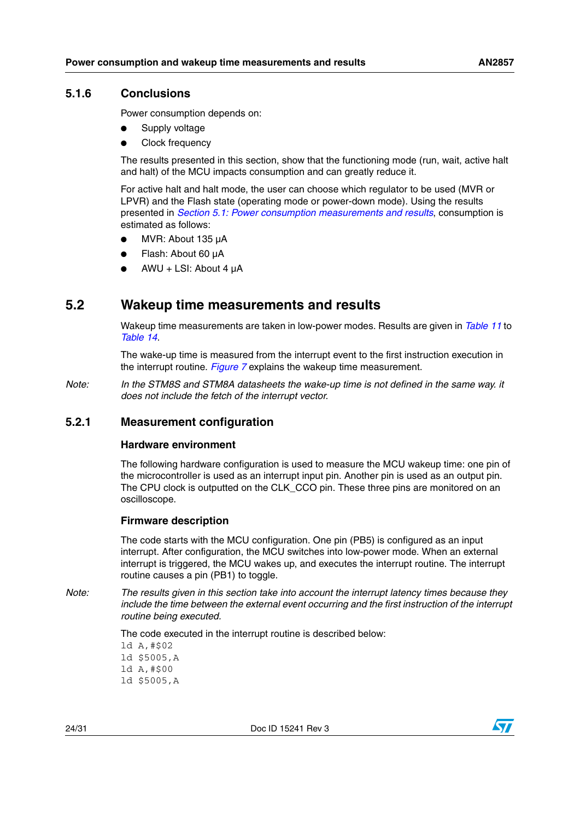### <span id="page-23-0"></span>**5.1.6 Conclusions**

Power consumption depends on:

- Supply voltage
- **Clock frequency**

The results presented in this section, show that the functioning mode (run, wait, active halt and halt) of the MCU impacts consumption and can greatly reduce it.

For active halt and halt mode, the user can choose which regulator to be used (MVR or LPVR) and the Flash state (operating mode or power-down mode). Using the results presented in *[Section 5.1: Power consumption measurements and results](#page-17-1)*, consumption is estimated as follows:

- MVR: About 135 uA
- Flash: About 60 uA
- $AWU + LSI$ : About 4  $\mu$ A

# <span id="page-23-1"></span>**5.2 Wakeup time measurements and results**

Wakeup time measurements are taken in low-power modes. Results are given in *[Table 11](#page-24-2)* to *[Table 14](#page-26-2)*.

The wake-up time is measured from the interrupt event to the first instruction execution in the interrupt routine. *[Figure 7](#page-24-3)* explains the wakeup time measurement.

*Note: In the STM8S and STM8A datasheets the wake-up time is not defined in the same way. it does not include the fetch of the interrupt vector.*

### <span id="page-23-2"></span>**5.2.1 Measurement configuration**

#### **Hardware environment**

The following hardware configuration is used to measure the MCU wakeup time: one pin of the microcontroller is used as an interrupt input pin. Another pin is used as an output pin. The CPU clock is outputted on the CLK\_CCO pin. These three pins are monitored on an oscilloscope.

#### **Firmware description**

The code starts with the MCU configuration. One pin (PB5) is configured as an input interrupt. After configuration, the MCU switches into low-power mode. When an external interrupt is triggered, the MCU wakes up, and executes the interrupt routine. The interrupt routine causes a pin (PB1) to toggle.

*Note: The results given in this section take into account the interrupt latency times because they include the time between the external event occurring and the first instruction of the interrupt routine being executed.*

The code executed in the interrupt routine is described below:

ld A,#\$02 ld \$5005,A ld A,#\$00

ld \$5005,A

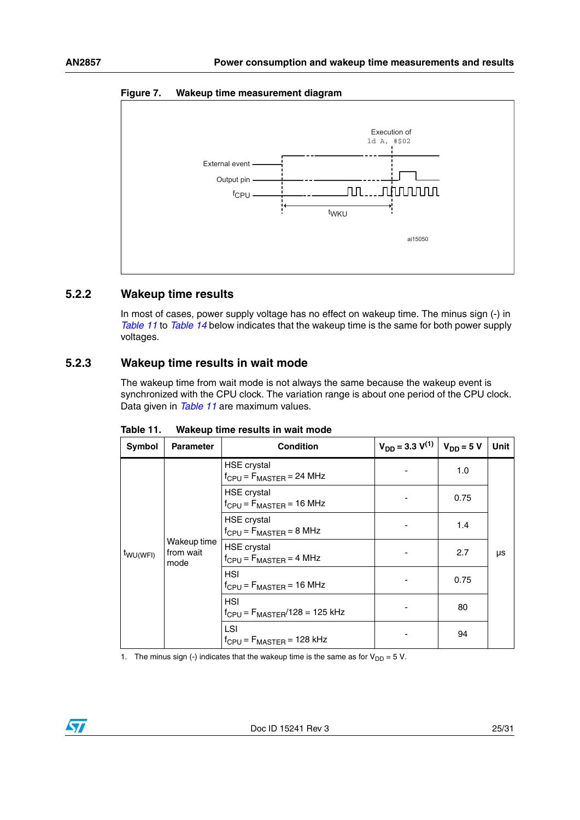

#### <span id="page-24-3"></span>**Figure 7. Wakeup time measurement diagram**

### <span id="page-24-0"></span>**5.2.2 Wakeup time results**

In most of cases, power supply voltage has no effect on wakeup time. The minus sign (-) in *[Table 11](#page-24-2)* to *[Table 14](#page-26-2)* below indicates that the wakeup time is the same for both power supply voltages.

### <span id="page-24-1"></span>**5.2.3 Wakeup time results in wait mode**

The wakeup time from wait mode is not always the same because the wakeup event is synchronized with the CPU clock. The variation range is about one period of the CPU clock. Data given in *[Table 11](#page-24-2)* are maximum values.

| Symbol                                                   | <b>Parameter</b>                                     | <b>Condition</b>                                      | $V_{DD} = 3.3 V^{(1)}$ | $V_{DD} = 5 V$ | <b>Unit</b> |
|----------------------------------------------------------|------------------------------------------------------|-------------------------------------------------------|------------------------|----------------|-------------|
| Wakeup time<br>from wait<br>t <sub>WU(WFI)</sub><br>mode |                                                      | <b>HSE</b> crystal<br>$f_{CPU} = F_{MASTER} = 24 MHz$ |                        | 1.0            |             |
|                                                          |                                                      | <b>HSE</b> crystal<br>$f_{CPU} = F_{MASTER} = 16 MHz$ |                        | 0.75           |             |
|                                                          | <b>HSE</b> crystal<br>$f_{CPU} = F_{MASTER} = 8 MHz$ |                                                       | 1.4                    |                |             |
|                                                          |                                                      | <b>HSE</b> crystal<br>$f_{CPU} = F_{MASTER} = 4 MHz$  |                        | 2.7            | μs          |
|                                                          |                                                      | <b>HSI</b><br>$f_{CPU} = F_{MASTER} = 16 MHz$         |                        | 0.75           |             |
|                                                          |                                                      | <b>HSI</b><br>$f_{CPU} = F_{MASTER}/128 = 125$ kHz    |                        | 80             |             |
|                                                          |                                                      | LSI<br>$f_{CPU} = F_{MASTER} = 128$ kHz               |                        | 94             |             |

<span id="page-24-2"></span>Table 11. **Wakeup time results in wait mode** 

1. The minus sign (-) indicates that the wakeup time is the same as for  $V_{DD} = 5$  V.

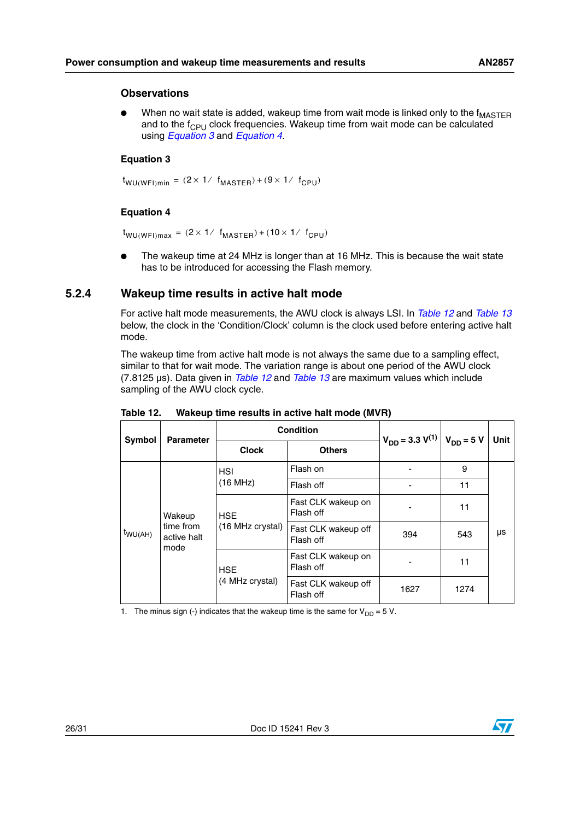#### **Observations**

When no wait state is added, wakeup time from wait mode is linked only to the  $f_{\text{MASTER}}$ and to the  $f_{\text{CPI}}$  clock frequencies. Wakeup time from wait mode can be calculated using *Equation 3* and *Equation 4*.

#### **Equation 3**

 $t_{\text{WU(WFI)}min}$  = (2  $\times$  1/  $f_{\text{MASTER}}$ ) + (9  $\times$  1/  $f_{\text{CPU}}$ )

#### **Equation 4**

 $t_{\textsf{WU(WFI)max}}$  = (2  $\times$  1/  $f_{\textsf{MASTER}}$ ) + (10  $\times$  1/  $f_{\textsf{CPU}}$ )

The wakeup time at 24 MHz is longer than at 16 MHz. This is because the wait state has to be introduced for accessing the Flash memory.

### <span id="page-25-0"></span>**5.2.4 Wakeup time results in active halt mode**

For active halt mode measurements, the AWU clock is always LSI. In *[Table 12](#page-25-1)* and *[Table 13](#page-26-1)* below, the clock in the 'Condition/Clock' column is the clock used before entering active halt mode.

The wakeup time from active halt mode is not always the same due to a sampling effect, similar to that for wait mode. The variation range is about one period of the AWU clock (7.8125 µs). Data given in *[Table 12](#page-25-1)* and *[Table 13](#page-26-1)* are maximum values which include sampling of the AWU clock cycle.

| Symbol                                                            | <b>Parameter</b> | <b>Condition</b>               |                                  | $V_{DD} = 3.3 V^{(1)}$ | $V_{DD} = 5 V$ | <b>Unit</b> |
|-------------------------------------------------------------------|------------------|--------------------------------|----------------------------------|------------------------|----------------|-------------|
|                                                                   |                  | <b>Clock</b>                   | <b>Others</b>                    |                        |                |             |
|                                                                   |                  | <b>HSI</b>                     | Flash on                         |                        | 9              |             |
| Wakeup<br>time from<br>$t_{\text{WU(AH)}}$<br>active halt<br>mode |                  | (16 MHz)                       | Flash off                        |                        | 11             |             |
|                                                                   |                  | <b>HSE</b><br>(16 MHz crystal) | Fast CLK wakeup on<br>Flash off  |                        | 11             |             |
|                                                                   |                  |                                | Fast CLK wakeup off<br>Flash off | 394                    | 543            | μs          |
|                                                                   |                  | <b>HSE</b><br>(4 MHz crystal)  | Fast CLK wakeup on<br>Flash off  |                        | 11             |             |
|                                                                   |                  |                                | Fast CLK wakeup off<br>Flash off | 1627                   | 1274           |             |

<span id="page-25-1"></span>Table 12. **Wakeup time results in active halt mode (MVR)** 

1. The minus sign (-) indicates that the wakeup time is the same for  $V_{DD} = 5 V$ .

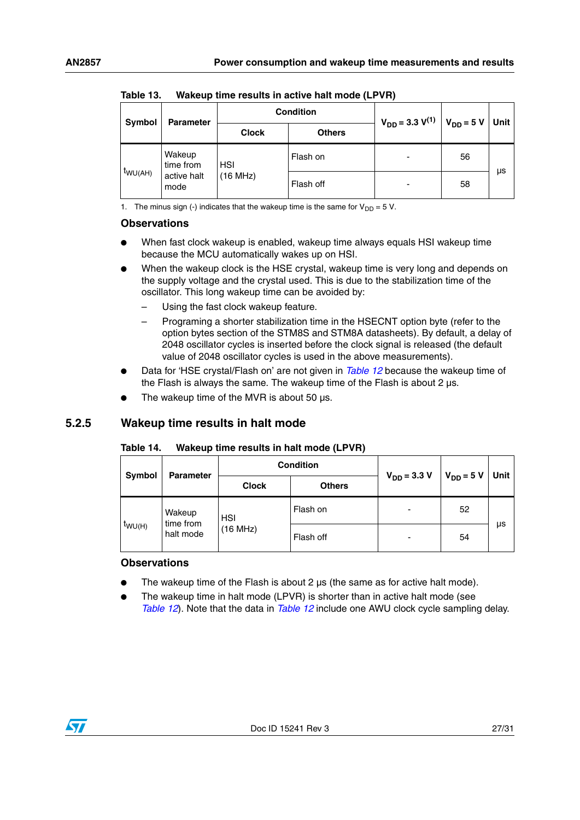| Symbol       |                     | <b>Condition</b><br><b>Parameter</b> |               | $V_{DD} = 3.3 V^{(1)}$   |                | <b>Unit</b> |
|--------------|---------------------|--------------------------------------|---------------|--------------------------|----------------|-------------|
|              |                     | <b>Clock</b>                         | <b>Others</b> |                          | $V_{DD} = 5 V$ |             |
|              | Wakeup<br>time from | <b>HSI</b>                           | Flash on      | ٠                        | 56             |             |
| $t_{WU(AH)}$ | active halt<br>mode | (16 MHz)                             | Flash off     | $\overline{\phantom{a}}$ | 58             | μs          |

<span id="page-26-1"></span>Table 13. **Wakeup time results in active halt mode (LPVR)** 

1. The minus sign (-) indicates that the wakeup time is the same for  $V_{DD} = 5$  V.

#### **Observations**

- When fast clock wakeup is enabled, wakeup time always equals HSI wakeup time because the MCU automatically wakes up on HSI.
- When the wakeup clock is the HSE crystal, wakeup time is very long and depends on the supply voltage and the crystal used. This is due to the stabilization time of the oscillator. This long wakeup time can be avoided by:
	- Using the fast clock wakeup feature.
	- Programing a shorter stabilization time in the HSECNT option byte (refer to the option bytes section of the STM8S and STM8A datasheets). By default, a delay of 2048 oscillator cycles is inserted before the clock signal is released (the default value of 2048 oscillator cycles is used in the above measurements).
- Data for 'HSE crystal/Flash on' are not given in *[Table 12](#page-25-1)* because the wakeup time of the Flash is always the same. The wakeup time of the Flash is about  $2 \mu s$ .
- The wakeup time of the MVR is about 50  $\mu$ s.

## <span id="page-26-0"></span>**5.2.5 Wakeup time results in halt mode**

#### <span id="page-26-2"></span>Table 14. **Wakeup time results in halt mode (LPVR)**

| Symbol<br><b>Parameter</b> |                     | <b>Condition</b> |               | $V_{DD} = 3.3 V$ | $V_{DD} = 5 V$ | Unit |
|----------------------------|---------------------|------------------|---------------|------------------|----------------|------|
|                            |                     | <b>Clock</b>     | <b>Others</b> |                  |                |      |
|                            | Wakeup<br>time from | <b>HSI</b>       | Flash on      |                  | 52             |      |
| $t_{WU(H)}$<br>halt mode   | (16 MHz)            | Flash off        |               | 54               | μs             |      |

#### **Observations**

- The wakeup time of the Flash is about 2  $\mu$ s (the same as for active halt mode).
- The wakeup time in halt mode (LPVR) is shorter than in active halt mode (see *[Table 12](#page-25-1)*). Note that the data in *[Table 12](#page-25-1)* include one AWU clock cycle sampling delay.

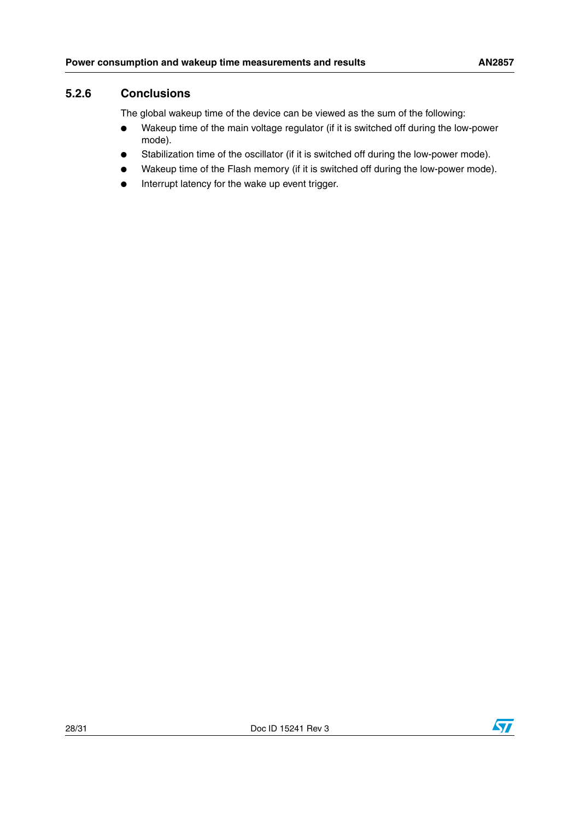## <span id="page-27-0"></span>**5.2.6 Conclusions**

The global wakeup time of the device can be viewed as the sum of the following:

- Wakeup time of the main voltage regulator (if it is switched off during the low-power mode).
- Stabilization time of the oscillator (if it is switched off during the low-power mode).
- Wakeup time of the Flash memory (if it is switched off during the low-power mode).
- Interrupt latency for the wake up event trigger.

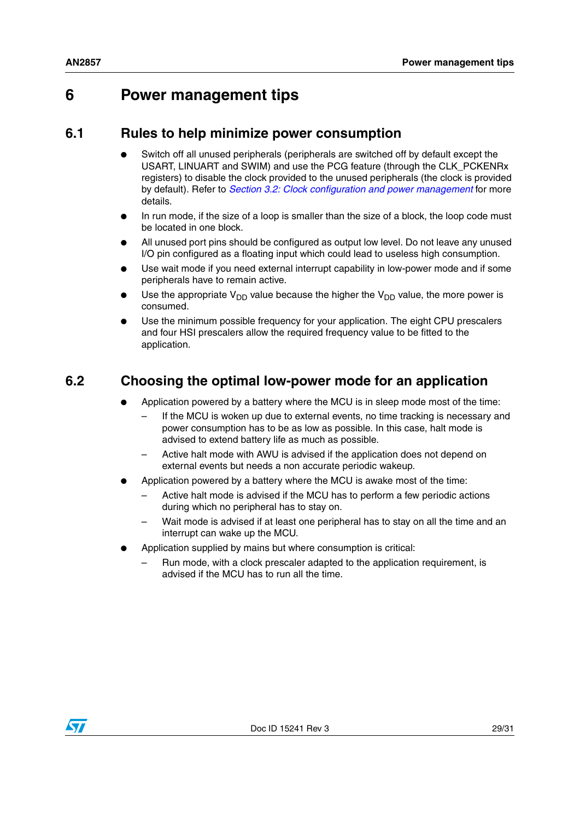# <span id="page-28-0"></span>**6 Power management tips**

# <span id="page-28-1"></span>**6.1 Rules to help minimize power consumption**

- Switch off all unused peripherals (peripherals are switched off by default except the USART, LINUART and SWIM) and use the PCG feature (through the CLK\_PCKENRx registers) to disable the clock provided to the unused peripherals (the clock is provided by default). Refer to *[Section 3.2: Clock configuration and power management](#page-10-0)* for more details.
- In run mode, if the size of a loop is smaller than the size of a block, the loop code must be located in one block.
- All unused port pins should be configured as output low level. Do not leave any unused I/O pin configured as a floating input which could lead to useless high consumption.
- Use wait mode if you need external interrupt capability in low-power mode and if some peripherals have to remain active.
- Use the appropriate  $V_{DD}$  value because the higher the  $V_{DD}$  value, the more power is consumed.
- Use the minimum possible frequency for your application. The eight CPU prescalers and four HSI prescalers allow the required frequency value to be fitted to the application.

# <span id="page-28-2"></span>**6.2 Choosing the optimal low-power mode for an application**

- Application powered by a battery where the MCU is in sleep mode most of the time:
	- If the MCU is woken up due to external events, no time tracking is necessary and power consumption has to be as low as possible. In this case, halt mode is advised to extend battery life as much as possible.
	- Active halt mode with AWU is advised if the application does not depend on external events but needs a non accurate periodic wakeup.
- Application powered by a battery where the MCU is awake most of the time:
	- Active halt mode is advised if the MCU has to perform a few periodic actions during which no peripheral has to stay on.
	- Wait mode is advised if at least one peripheral has to stay on all the time and an interrupt can wake up the MCU.
- Application supplied by mains but where consumption is critical:
	- Run mode, with a clock prescaler adapted to the application requirement, is advised if the MCU has to run all the time.

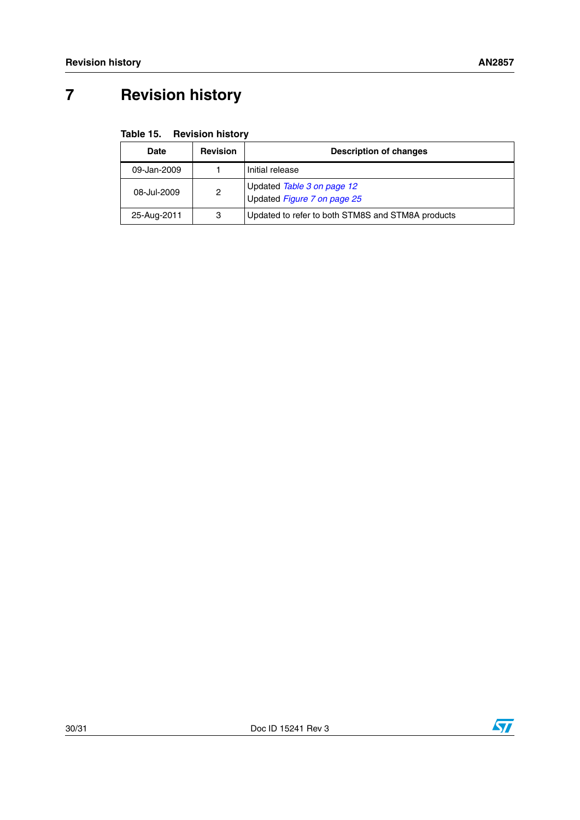# <span id="page-29-0"></span>**7 Revision history**

<span id="page-29-1"></span>

| Date        | <b>Revision</b> | <b>Description of changes</b>                             |
|-------------|-----------------|-----------------------------------------------------------|
| 09-Jan-2009 |                 | Initial release                                           |
| 08-Jul-2009 | 2               | Updated Table 3 on page 12<br>Updated Figure 7 on page 25 |
| 25-Aug-2011 | 3               | Updated to refer to both STM8S and STM8A products         |